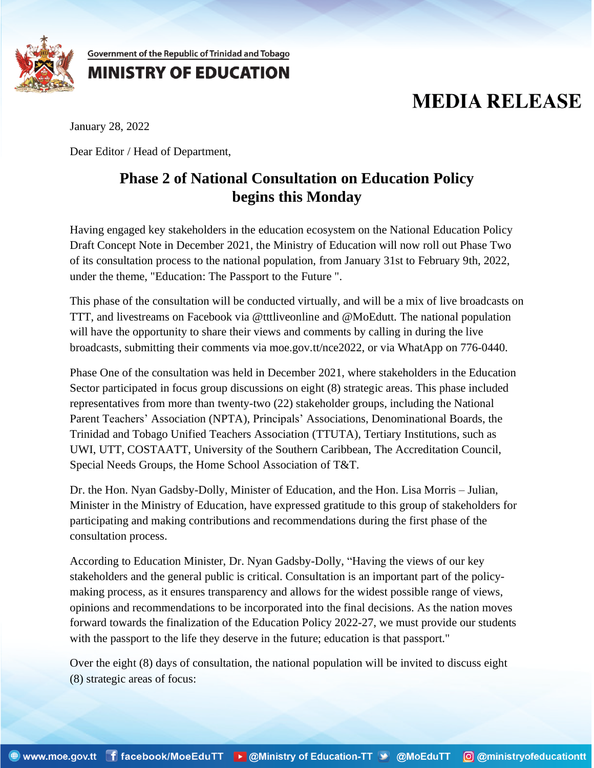

Government of the Republic of Trinidad and Tobago

## **MINISTRY OF EDUCATION**

## **MEDIA RELEASE**

January 28, 2022

Dear Editor / Head of Department,

## **Phase 2 of National Consultation on Education Policy begins this Monday**

Having engaged key stakeholders in the education ecosystem on the National Education Policy Draft Concept Note in December 2021, the Ministry of Education will now roll out Phase Two of its consultation process to the national population, from January 31st to February 9th, 2022, under the theme, "Education: The Passport to the Future ".

This phase of the consultation will be conducted virtually, and will be a mix of live broadcasts on TTT, and livestreams on Facebook via @tttliveonline and @MoEdutt. The national population will have the opportunity to share their views and comments by calling in during the live broadcasts, submitting their comments via moe.gov.tt/nce2022, or via WhatApp on 776-0440.

Phase One of the consultation was held in December 2021, where stakeholders in the Education Sector participated in focus group discussions on eight (8) strategic areas. This phase included representatives from more than twenty-two (22) stakeholder groups, including the National Parent Teachers' Association (NPTA), Principals' Associations, Denominational Boards, the Trinidad and Tobago Unified Teachers Association (TTUTA), Tertiary Institutions, such as UWI, UTT, COSTAATT, University of the Southern Caribbean, The Accreditation Council, Special Needs Groups, the Home School Association of T&T.

Dr. the Hon. Nyan Gadsby-Dolly, Minister of Education, and the Hon. Lisa Morris – Julian, Minister in the Ministry of Education, have expressed gratitude to this group of stakeholders for participating and making contributions and recommendations during the first phase of the consultation process.

According to Education Minister, Dr. Nyan Gadsby-Dolly, "Having the views of our key stakeholders and the general public is critical. Consultation is an important part of the policymaking process, as it ensures transparency and allows for the widest possible range of views, opinions and recommendations to be incorporated into the final decisions. As the nation moves forward towards the finalization of the Education Policy 2022-27, we must provide our students with the passport to the life they deserve in the future; education is that passport."

Over the eight (8) days of consultation, the national population will be invited to discuss eight (8) strategic areas of focus: